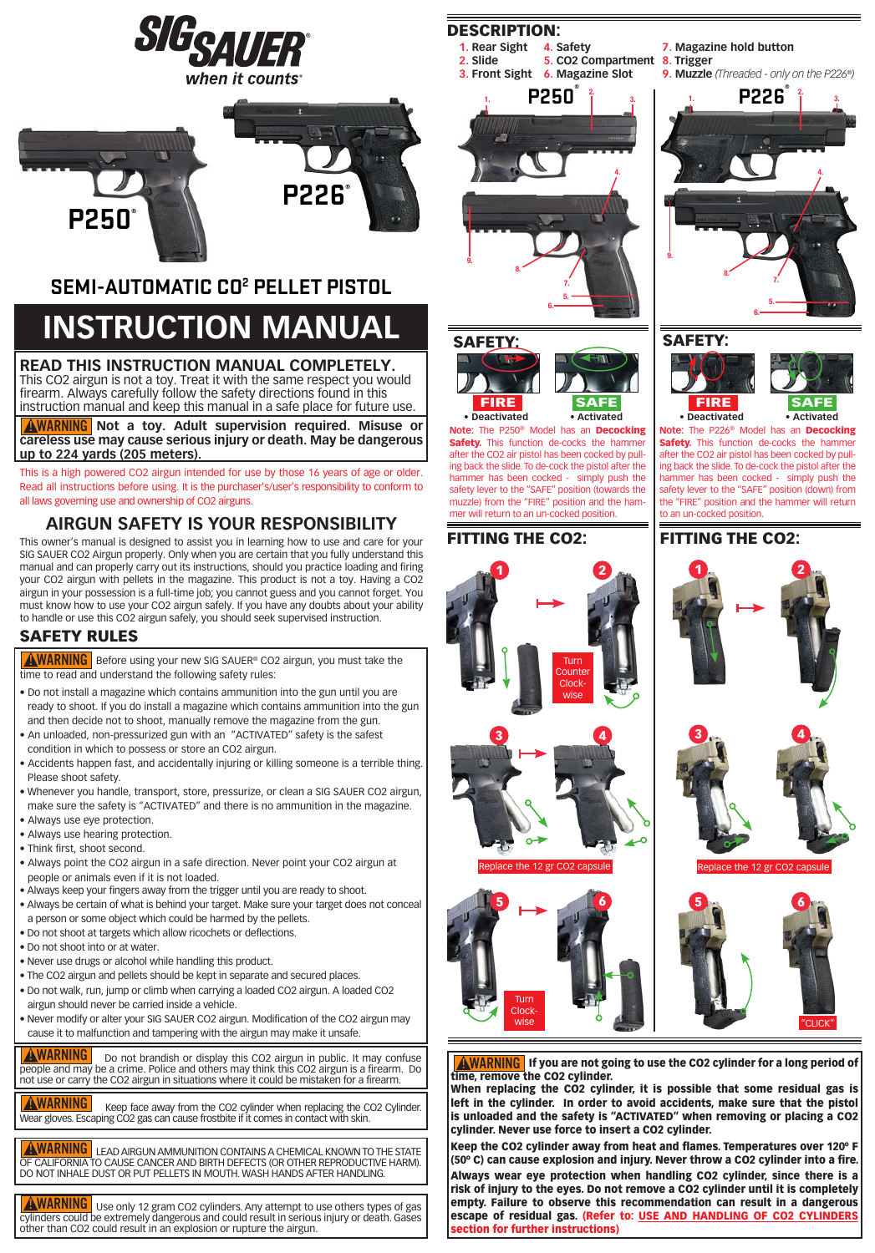



### **SEMI - AUTOMATIC CO2 PELLET PISTOL**

## **INSTRUCTION MANUAL**

#### **READ THIS INSTRUCTION MANUAL COMPLETELY.**

This CO2 airgun is not a toy. Treat it with the same respect you would firearm. Always carefully follow the safety directions found in this instruction manual and keep this manual in a safe place for future use.

**AWARNING** Not a toy. Adult supervision required. Misuse or **careless use may cause serious injury or death. May be dangerous**<br>un to 224 vards (205 meters) **up to 224 yards (205 meters).**

This is a high powered CO2 airgun intended for use by those 16 years of age or older. Read all instructions before using. It is the purchaser's/user's responsibility to conform to all laws governing use and ownership of CO2 airguns.

#### **AIRGUN SAFETY IS YOUR RESPONSIBILITY**

This owner's manual is designed to assist you in learning how to use and care for your SIG SAUER CO2 Airgun properly. Only when you are certain that you fully understand this manual and can properly carry out its instructions, should you practice loading and firing your CO2 airgun with pellets in the magazine. This product is not a toy. Having a CO2 airgun in your possession is a full-time job; you cannot guess and you cannot forget. You must know how to use your CO2 airgun safely. If you have any doubts about your ability to handle or use this CO2 airgun safely, you should seek supervised instruction.

#### **SAFETY RULES**

**AWARNING** Before using your new SIG SAUER® CO2 airgun, you must take the time to read and understand the following safety rules:<br>

- Do not install a magazine which contains ammunition into the gun until you are ready to shoot. If you do install a magazine which contains ammunition into the gun and then decide not to shoot, manually remove the magazine from the gun.
- An unloaded, non-pressurized gun with an "ACTIVATED" safety is the safest condition in which to possess or store an CO2 airgun.
- Accidents happen fast, and accidentally injuring or killing someone is a terrible thing. Please shoot safety.
- Whenever you handle, transport, store, pressurize, or clean a SIG SAUER CO2 airgun, make sure the safety is "ACTIVATED" and there is no ammunition in the magazine.
- Always use eye protection.
- Always use hearing protection.
- Think first, shoot second.
- Always point the CO2 airgun in a safe direction. Never point your CO2 airgun at people or animals even if it is not loaded.
- Always keep your fingers away from the trigger until you are ready to shoot.
- Always be certain of what is behind your target. Make sure your target does not conceal a person or some object which could be harmed by the pellets.
- Do not shoot at targets which allow ricochets or deflections.
- Do not shoot into or at water.
- Never use drugs or alcohol while handling this product.
- The CO2 airgun and pellets should be kept in separate and secured places.
- Do not walk, run, jump or climb when carrying a loaded CO2 airgun. A loaded CO2 airgun should never be carried inside a vehicle.
- cause it to malfunction and tampering with the airgun may make it unsafe. • Never modify or alter your SIG SAUER CO2 airgun. Modification of the CO2 airgun may

**AWARNING** Do not brandish or display this CO2 airgun in public. It may confuse people and may be a crime. Police and others may think this CO2 airgun is a firearm. Do people and may be a crime. Police and others may trillik this CO2 airgun is a firearm.<br>not use or carry the CO2 airgun in situations where it could be mistaken for a firearm.

**AWARNING** Keep face away from the CO2 cylinder when replacing the CO2 Cylinder. Wear gloves. Escaping CO2 gas can cause frostbite if it comes in contact with skin.<br>.

**AWARNING** LEAD AIRGUN AMMUNITION CONTAINS A CHEMICAL KNOWN TO THE STATE OF CALIFORNIA TO CAUSE CANCER AND BIRTH DEFECTS (OR OTHER REPRODUCTIVE<br>DO NOT INHALE DUST OR PUT PELLETS IN MOUTH. WASH HANDS AFTER HANDLING.<br>-OF CALIFORNIA TO CAUSE CANCER AND BIRTH DEFECTS (OR OTHER REPRODUCTIVE HARM).

**WARNING** Use only 12 gram CO2 cylinders. Any attempt to use others types of gas cylinders could be extremely dangerous and could result in serious injury or death. Gases<br>other than CO2 could result in an explosion or rupture the airgun.

### DESCRIPTION:





# SAFETY: FIRE





FITTING THE CO2:







**9. Muzzle** (Threaded - only on the P226<sup>®</sup>)

**SAFE • Deactivated • Activated** FIRE

**Note:** The P226® Model has an Decocking **Safety.** This function de-cocks the hammer after the CO2 air pistol has been cocked by pulling back the slide. To de-cock the pistol after the hammer has been cocked - simply push the safety lever to the "SAFE" position (down) from the "FIRE" position and the hammer will return to an un-cocked position.

#### FITTING THE CO2:





**AWARNING** If you are not going to use the CO2 cylinder for a long period of time, remove the CO2 cylinder.

ume, remove the CO2 cynnuer.<br>When replacing the CO2 cylinder, it is possible that some residual gas is left in the cylinder. In order to avoid accidents, make sure that the pistol is unloaded and the safety is "ACTIVATED" when removing or placing a CO2 cylinder. Never use force to insert a CO2 cylinder.

Keep the CO2 cylinder away from heat and flames. Temperatures over 120º F (50º C) can cause explosion and injury. Never throw a CO2 cylinder into a fire.

Always wear eye protection when handling CO2 cylinder, since there is a risk of injury to the eyes. Do not remove a CO2 cylinder until it is completely empty. Failure to observe this recommendation can result in a dangerous escape of residual gas. (Refer to: USE AND HANDLING OF CO2 CYLINDERS section for further instructions)